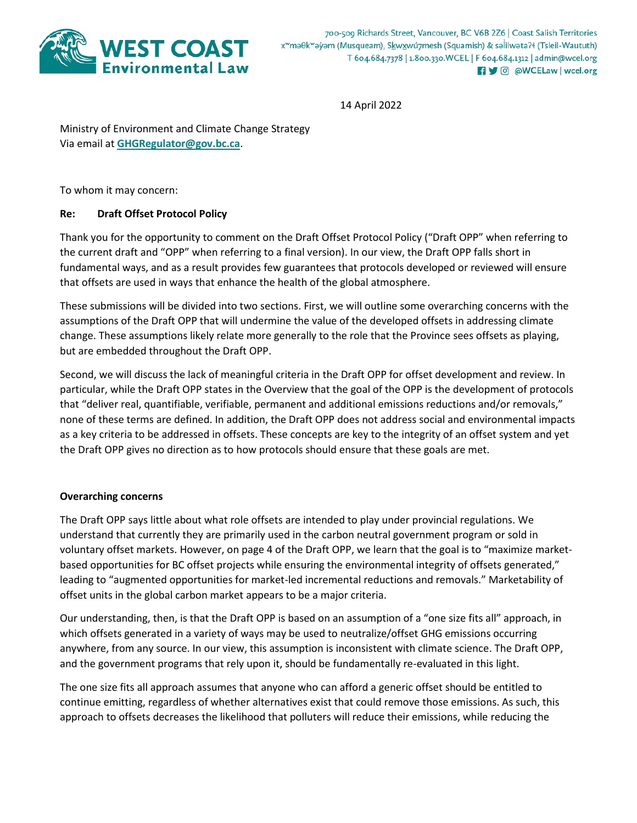

700-509 Richards Street, Vancouver, BC V6B 2Z6 | Coast Salish Territories x<sup>w</sup>məθk<sup>w</sup>əyəm (Musqueam), Skwxwú7mesh (Squamish) & səlilwəta?ł (Tsleil-Waututh) T 604.684.7378 | 1.800.330. WCEL | F 604.684.1312 | admin@wcel.org **R** 9 @ @WCELaw | wcel.org

14 April 2022

Ministry of Environment and Climate Change Strategy Via email at **[GHGRegulator@gov.bc.ca](mailto:GHGRegulator@gov.bc.ca)**.

To whom it may concern:

# **Re: Draft Offset Protocol Policy**

Thank you for the opportunity to comment on the Draft Offset Protocol Policy ("Draft OPP" when referring to the current draft and "OPP" when referring to a final version). In our view, the Draft OPP falls short in fundamental ways, and as a result provides few guarantees that protocols developed or reviewed will ensure that offsets are used in ways that enhance the health of the global atmosphere.

These submissions will be divided into two sections. First, we will outline some overarching concerns with the assumptions of the Draft OPP that will undermine the value of the developed offsets in addressing climate change. These assumptions likely relate more generally to the role that the Province sees offsets as playing, but are embedded throughout the Draft OPP.

Second, we will discuss the lack of meaningful criteria in the Draft OPP for offset development and review. In particular, while the Draft OPP states in the Overview that the goal of the OPP is the development of protocols that "deliver real, quantifiable, verifiable, permanent and additional emissions reductions and/or removals," none of these terms are defined. In addition, the Draft OPP does not address social and environmental impacts as a key criteria to be addressed in offsets. These concepts are key to the integrity of an offset system and yet the Draft OPP gives no direction as to how protocols should ensure that these goals are met.

### **Overarching concerns**

The Draft OPP says little about what role offsets are intended to play under provincial regulations. We understand that currently they are primarily used in the carbon neutral government program or sold in voluntary offset markets. However, on page 4 of the Draft OPP, we learn that the goal is to "maximize marketbased opportunities for BC offset projects while ensuring the environmental integrity of offsets generated," leading to "augmented opportunities for market-led incremental reductions and removals." Marketability of offset units in the global carbon market appears to be a major criteria.

Our understanding, then, is that the Draft OPP is based on an assumption of a "one size fits all" approach, in which offsets generated in a variety of ways may be used to neutralize/offset GHG emissions occurring anywhere, from any source. In our view, this assumption is inconsistent with climate science. The Draft OPP, and the government programs that rely upon it, should be fundamentally re-evaluated in this light.

The one size fits all approach assumes that anyone who can afford a generic offset should be entitled to continue emitting, regardless of whether alternatives exist that could remove those emissions. As such, this approach to offsets decreases the likelihood that polluters will reduce their emissions, while reducing the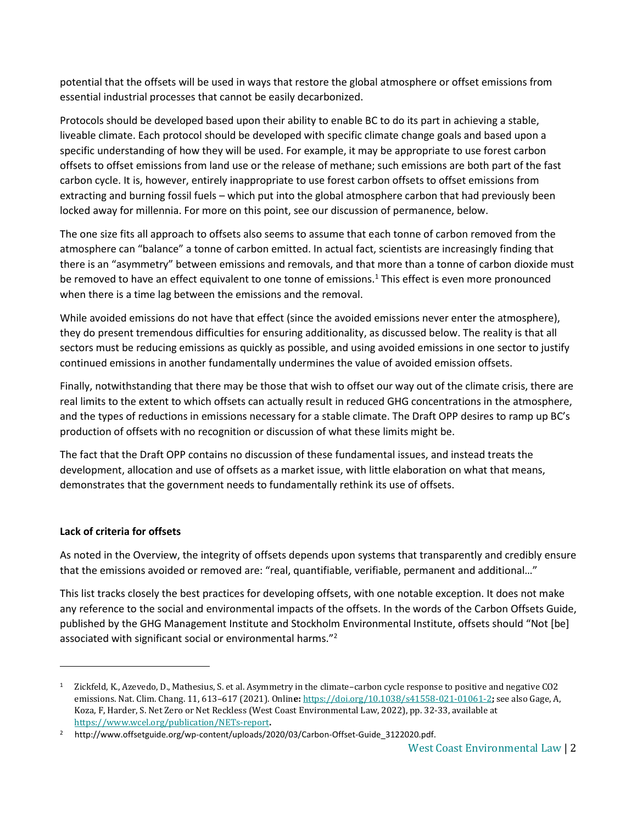potential that the offsets will be used in ways that restore the global atmosphere or offset emissions from essential industrial processes that cannot be easily decarbonized.

Protocols should be developed based upon their ability to enable BC to do its part in achieving a stable, liveable climate. Each protocol should be developed with specific climate change goals and based upon a specific understanding of how they will be used. For example, it may be appropriate to use forest carbon offsets to offset emissions from land use or the release of methane; such emissions are both part of the fast carbon cycle. It is, however, entirely inappropriate to use forest carbon offsets to offset emissions from extracting and burning fossil fuels – which put into the global atmosphere carbon that had previously been locked away for millennia. For more on this point, see our discussion of permanence, below.

The one size fits all approach to offsets also seems to assume that each tonne of carbon removed from the atmosphere can "balance" a tonne of carbon emitted. In actual fact, scientists are increasingly finding that there is an "asymmetry" between emissions and removals, and that more than a tonne of carbon dioxide must be removed to have an effect equivalent to one tonne of emissions.<sup>1</sup> This effect is even more pronounced when there is a time lag between the emissions and the removal.

While avoided emissions do not have that effect (since the avoided emissions never enter the atmosphere), they do present tremendous difficulties for ensuring additionality, as discussed below. The reality is that all sectors must be reducing emissions as quickly as possible, and using avoided emissions in one sector to justify continued emissions in another fundamentally undermines the value of avoided emission offsets.

Finally, notwithstanding that there may be those that wish to offset our way out of the climate crisis, there are real limits to the extent to which offsets can actually result in reduced GHG concentrations in the atmosphere, and the types of reductions in emissions necessary for a stable climate. The Draft OPP desires to ramp up BC's production of offsets with no recognition or discussion of what these limits might be.

The fact that the Draft OPP contains no discussion of these fundamental issues, and instead treats the development, allocation and use of offsets as a market issue, with little elaboration on what that means, demonstrates that the government needs to fundamentally rethink its use of offsets.

# **Lack of criteria for offsets**

l

As noted in the Overview, the integrity of offsets depends upon systems that transparently and credibly ensure that the emissions avoided or removed are: "real, quantifiable, verifiable, permanent and additional…"

This list tracks closely the best practices for developing offsets, with one notable exception. It does not make any reference to the social and environmental impacts of the offsets. In the words of the Carbon Offsets Guide, published by the GHG Management Institute and Stockholm Environmental Institute, offsets should "Not [be] associated with significant social or environmental harms."<sup>2</sup>

<sup>1</sup> Zickfeld, K., Azevedo, D., Mathesius, S. et al. Asymmetry in the climate–carbon cycle response to positive and negative CO2 emissions. Nat. Clim. Chang. 11, 613–617 (2021). Onlin**e:** <https://doi.org/10.1038/s41558-021-01061-2>**;** see also Gage, A, Koza, F, Harder, S. Net Zero or Net Reckless (West Coast Environmental Law, 2022), pp. 32-33, available at <https://www.wcel.org/publication/NETs-report>**.**

<sup>&</sup>lt;sup>2</sup> http://www.offsetguide.org/wp-content/uploads/2020/03/Carbon-Offset-Guide 3122020.pdf.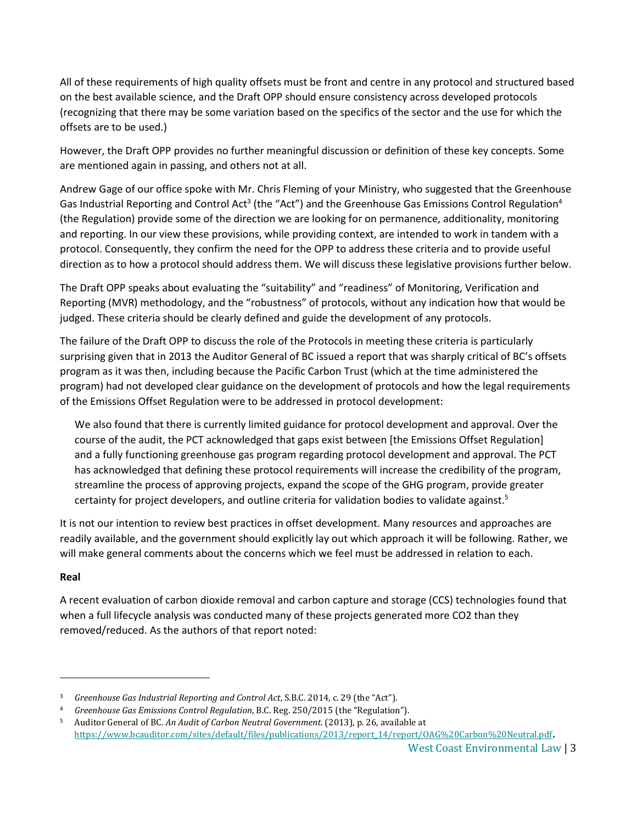All of these requirements of high quality offsets must be front and centre in any protocol and structured based on the best available science, and the Draft OPP should ensure consistency across developed protocols (recognizing that there may be some variation based on the specifics of the sector and the use for which the offsets are to be used.)

However, the Draft OPP provides no further meaningful discussion or definition of these key concepts. Some are mentioned again in passing, and others not at all.

Andrew Gage of our office spoke with Mr. Chris Fleming of your Ministry, who suggested that the Greenhouse Gas Industrial Reporting and Control Act<sup>3</sup> (the "Act") and the Greenhouse Gas Emissions Control Regulation<sup>4</sup> (the Regulation) provide some of the direction we are looking for on permanence, additionality, monitoring and reporting. In our view these provisions, while providing context, are intended to work in tandem with a protocol. Consequently, they confirm the need for the OPP to address these criteria and to provide useful direction as to how a protocol should address them. We will discuss these legislative provisions further below.

The Draft OPP speaks about evaluating the "suitability" and "readiness" of Monitoring, Verification and Reporting (MVR) methodology, and the "robustness" of protocols, without any indication how that would be judged. These criteria should be clearly defined and guide the development of any protocols.

The failure of the Draft OPP to discuss the role of the Protocols in meeting these criteria is particularly surprising given that in 2013 the Auditor General of BC issued a report that was sharply critical of BC's offsets program as it was then, including because the Pacific Carbon Trust (which at the time administered the program) had not developed clear guidance on the development of protocols and how the legal requirements of the Emissions Offset Regulation were to be addressed in protocol development:

<span id="page-2-0"></span>We also found that there is currently limited guidance for protocol development and approval. Over the course of the audit, the PCT acknowledged that gaps exist between [the Emissions Offset Regulation] and a fully functioning greenhouse gas program regarding protocol development and approval. The PCT has acknowledged that defining these protocol requirements will increase the credibility of the program, streamline the process of approving projects, expand the scope of the GHG program, provide greater certainty for project developers, and outline criteria for validation bodies to validate against.<sup>5</sup>

It is not our intention to review best practices in offset development. Many resources and approaches are readily available, and the government should explicitly lay out which approach it will be following. Rather, we will make general comments about the concerns which we feel must be addressed in relation to each.

# **Real**

l

A recent evaluation of carbon dioxide removal and carbon capture and storage (CCS) technologies found that when a full lifecycle analysis was conducted many of these projects generated more CO2 than they removed/reduced. As the authors of that report noted:

<sup>3</sup> *Greenhouse Gas Industrial Reporting and Control Act*, S.B.C. 2014, c. 29 (the "Act").

<sup>4</sup> *Greenhouse Gas Emissions Control Regulation*, B.C. Reg. 250/2015 (the "Regulation").

<sup>5</sup> Auditor General of BC. *An Audit of Carbon Neutral Government*. (2013), p. 26, available at [https://www.bcauditor.com/sites/default/files/publications/2013/report\\_14/report/OAG%20Carbon%20Neutral.pdf](https://www.bcauditor.com/sites/default/files/publications/2013/report_14/report/OAG%20Carbon%20Neutral.pdf)**.**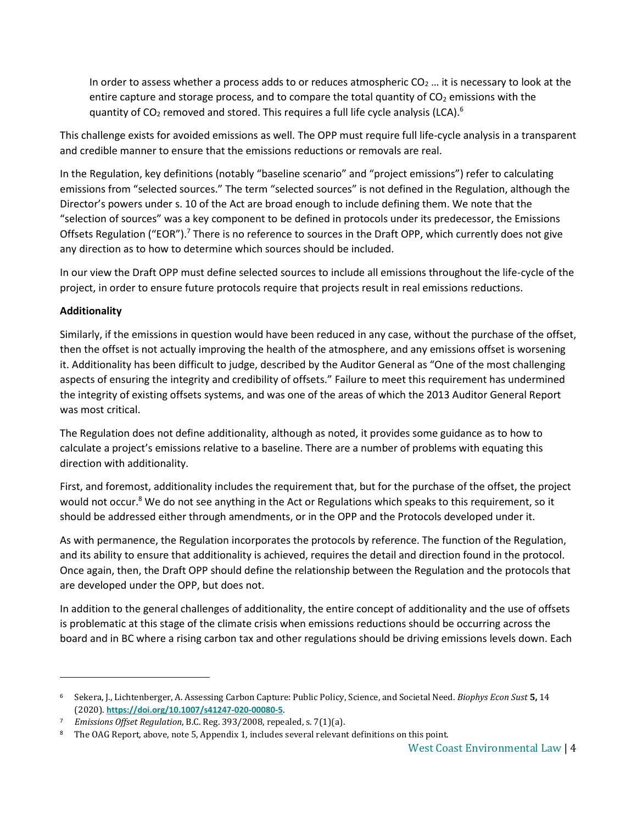In order to assess whether a process adds to or reduces atmospheric  $CO<sub>2</sub>$  ... it is necessary to look at the entire capture and storage process, and to compare the total quantity of  $CO<sub>2</sub>$  emissions with the quantity of  $CO<sub>2</sub>$  removed and stored. This requires a full life cycle analysis (LCA).<sup>6</sup>

This challenge exists for avoided emissions as well. The OPP must require full life-cycle analysis in a transparent and credible manner to ensure that the emissions reductions or removals are real.

In the Regulation, key definitions (notably "baseline scenario" and "project emissions") refer to calculating emissions from "selected sources." The term "selected sources" is not defined in the Regulation, although the Director's powers under s. 10 of the Act are broad enough to include defining them. We note that the "selection of sources" was a key component to be defined in protocols under its predecessor, the Emissions Offsets Regulation ("EOR").<sup>7</sup> There is no reference to sources in the Draft OPP, which currently does not give any direction as to how to determine which sources should be included.

In our view the Draft OPP must define selected sources to include all emissions throughout the life-cycle of the project, in order to ensure future protocols require that projects result in real emissions reductions.

# **Additionality**

l

Similarly, if the emissions in question would have been reduced in any case, without the purchase of the offset, then the offset is not actually improving the health of the atmosphere, and any emissions offset is worsening it. Additionality has been difficult to judge, described by the Auditor General as "One of the most challenging aspects of ensuring the integrity and credibility of offsets." Failure to meet this requirement has undermined the integrity of existing offsets systems, and was one of the areas of which the 2013 Auditor General Report was most critical.

The Regulation does not define additionality, although as noted, it provides some guidance as to how to calculate a project's emissions relative to a baseline. There are a number of problems with equating this direction with additionality.

First, and foremost, additionality includes the requirement that, but for the purchase of the offset, the project would not occur.<sup>8</sup> We do not see anything in the Act or Regulations which speaks to this requirement, so it should be addressed either through amendments, or in the OPP and the Protocols developed under it.

As with permanence, the Regulation incorporates the protocols by reference. The function of the Regulation, and its ability to ensure that additionality is achieved, requires the detail and direction found in the protocol. Once again, then, the Draft OPP should define the relationship between the Regulation and the protocols that are developed under the OPP, but does not.

In addition to the general challenges of additionality, the entire concept of additionality and the use of offsets is problematic at this stage of the climate crisis when emissions reductions should be occurring across the board and in BC where a rising carbon tax and other regulations should be driving emissions levels down. Each

<sup>6</sup> Sekera, J., Lichtenberger, A. Assessing Carbon Capture: Public Policy, Science, and Societal Need. *Biophys Econ Sust* **5,** 14 (2020). **<https://doi.org/10.1007/s41247-020-00080-5>**.

<sup>7</sup> *Emissions Offset Regulation*, B.C. Reg. 393/2008, repealed, s. 7(1)(a).

<sup>&</sup>lt;sup>8</sup> The OAG Report, above, note [5,](#page-2-0) Appendix 1, includes several relevant definitions on this point.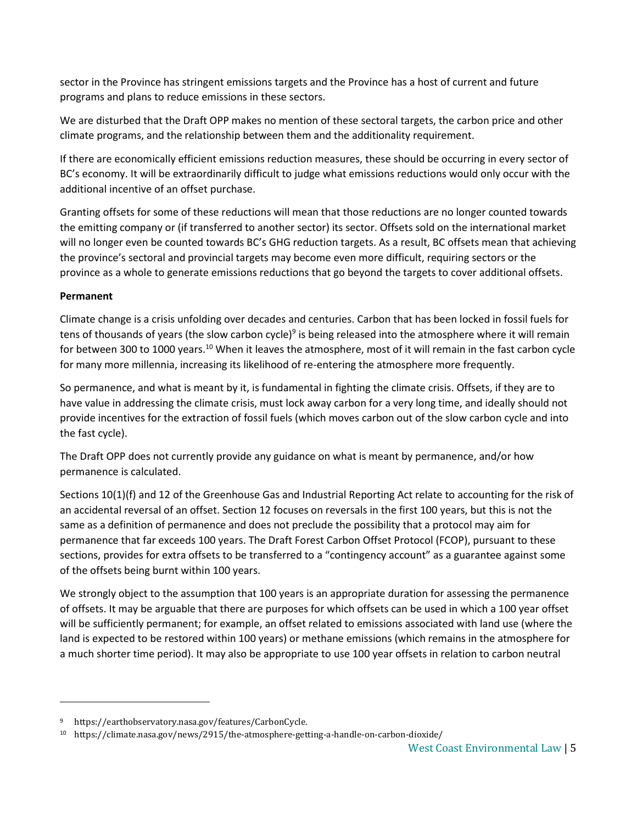sector in the Province has stringent emissions targets and the Province has a host of current and future programs and plans to reduce emissions in these sectors.

We are disturbed that the Draft OPP makes no mention of these sectoral targets, the carbon price and other climate programs, and the relationship between them and the additionality requirement.

If there are economically efficient emissions reduction measures, these should be occurring in every sector of BC's economy. It will be extraordinarily difficult to judge what emissions reductions would only occur with the additional incentive of an offset purchase.

Granting offsets for some of these reductions will mean that those reductions are no longer counted towards the emitting company or (if transferred to another sector) its sector. Offsets sold on the international market will no longer even be counted towards BC's GHG reduction targets. As a result, BC offsets mean that achieving the province's sectoral and provincial targets may become even more difficult, requiring sectors or the province as a whole to generate emissions reductions that go beyond the targets to cover additional offsets.

### **Permanent**

l

Climate change is a crisis unfolding over decades and centuries. Carbon that has been locked in fossil fuels for tens of thousands of years (the slow carbon cycle)<sup>9</sup> is being released into the atmosphere where it will remain for between 300 to 1000 years.<sup>10</sup> When it leaves the atmosphere, most of it will remain in the fast carbon cycle for many more millennia, increasing its likelihood of re-entering the atmosphere more frequently.

So permanence, and what is meant by it, is fundamental in fighting the climate crisis. Offsets, if they are to have value in addressing the climate crisis, must lock away carbon for a very long time, and ideally should not provide incentives for the extraction of fossil fuels (which moves carbon out of the slow carbon cycle and into the fast cycle).

The Draft OPP does not currently provide any guidance on what is meant by permanence, and/or how permanence is calculated.

Sections 10(1)(f) and 12 of the Greenhouse Gas and Industrial Reporting Act relate to accounting for the risk of an accidental reversal of an offset. Section 12 focuses on reversals in the first 100 years, but this is not the same as a definition of permanence and does not preclude the possibility that a protocol may aim for permanence that far exceeds 100 years. The Draft Forest Carbon Offset Protocol (FCOP), pursuant to these sections, provides for extra offsets to be transferred to a "contingency account" as a guarantee against some of the offsets being burnt within 100 years.

We strongly object to the assumption that 100 years is an appropriate duration for assessing the permanence of offsets. It may be arguable that there are purposes for which offsets can be used in which a 100 year offset will be sufficiently permanent; for example, an offset related to emissions associated with land use (where the land is expected to be restored within 100 years) or methane emissions (which remains in the atmosphere for a much shorter time period). It may also be appropriate to use 100 year offsets in relation to carbon neutral

https://earthobservatory.nasa.gov/features/CarbonCycle.

<sup>10</sup> https://climate.nasa.gov/news/2915/the-atmosphere-getting-a-handle-on-carbon-dioxide/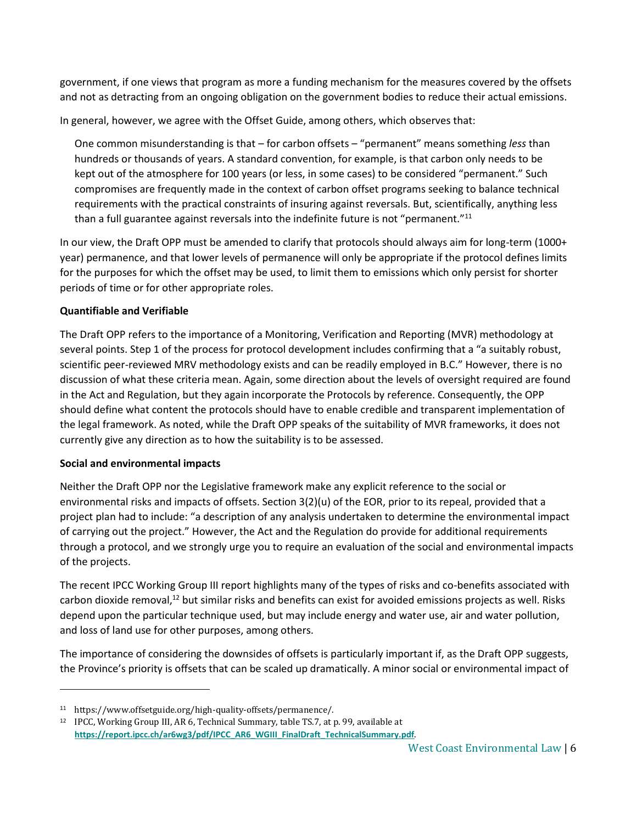government, if one views that program as more a funding mechanism for the measures covered by the offsets and not as detracting from an ongoing obligation on the government bodies to reduce their actual emissions.

In general, however, we agree with the Offset Guide, among others, which observes that:

One common misunderstanding is that – for carbon offsets – "permanent" means something *less* than hundreds or thousands of years. A standard convention, for example, is that carbon only needs to be kept out of the atmosphere for 100 years (or less, in some cases) to be considered "permanent." Such compromises are frequently made in the context of carbon offset programs seeking to balance technical requirements with the practical constraints of insuring against reversals. But, scientifically, anything less than a full guarantee against reversals into the indefinite future is not "permanent."<sup>11</sup>

In our view, the Draft OPP must be amended to clarify that protocols should always aim for long-term (1000+ year) permanence, and that lower levels of permanence will only be appropriate if the protocol defines limits for the purposes for which the offset may be used, to limit them to emissions which only persist for shorter periods of time or for other appropriate roles.

# **Quantifiable and Verifiable**

The Draft OPP refers to the importance of a Monitoring, Verification and Reporting (MVR) methodology at several points. Step 1 of the process for protocol development includes confirming that a "a suitably robust, scientific peer-reviewed MRV methodology exists and can be readily employed in B.C." However, there is no discussion of what these criteria mean. Again, some direction about the levels of oversight required are found in the Act and Regulation, but they again incorporate the Protocols by reference. Consequently, the OPP should define what content the protocols should have to enable credible and transparent implementation of the legal framework. As noted, while the Draft OPP speaks of the suitability of MVR frameworks, it does not currently give any direction as to how the suitability is to be assessed.

# **Social and environmental impacts**

Neither the Draft OPP nor the Legislative framework make any explicit reference to the social or environmental risks and impacts of offsets. Section 3(2)(u) of the EOR, prior to its repeal, provided that a project plan had to include: "a description of any analysis undertaken to determine the environmental impact of carrying out the project." However, the Act and the Regulation do provide for additional requirements through a protocol, and we strongly urge you to require an evaluation of the social and environmental impacts of the projects.

The recent IPCC Working Group III report highlights many of the types of risks and co-benefits associated with carbon dioxide removal, $12$  but similar risks and benefits can exist for avoided emissions projects as well. Risks depend upon the particular technique used, but may include energy and water use, air and water pollution, and loss of land use for other purposes, among others.

The importance of considering the downsides of offsets is particularly important if, as the Draft OPP suggests, the Province's priority is offsets that can be scaled up dramatically. A minor social or environmental impact of

<sup>11</sup> https://www.offsetguide.org/high-quality-offsets/permanence/.

<sup>&</sup>lt;sup>12</sup> IPCC, Working Group III, AR 6, Technical Summary, table TS.7, at p. 99, available at **[https://report.ipcc.ch/ar6wg3/pdf/IPCC\\_AR6\\_WGIII\\_FinalDraft\\_TechnicalSummary.pdf](https://report.ipcc.ch/ar6wg3/pdf/IPCC_AR6_WGIII_FinalDraft_TechnicalSummary.pdf)**.